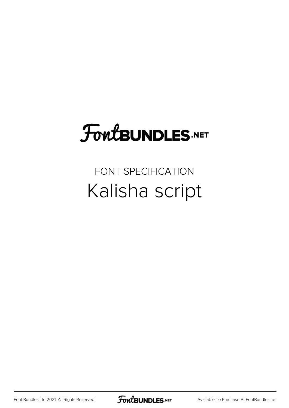## FoutBUNDLES.NET

### FONT SPECIFICATION Kalisha script

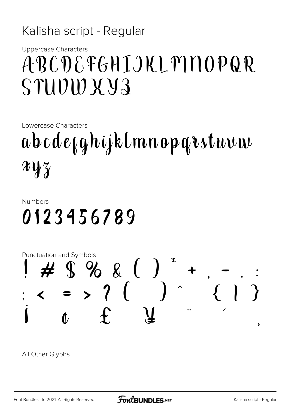#### Kalisha script - Regular

**Uppercase Characters** 

## ABCDEFGHIJKLMNOPQR STUVWXY3

Lowercase Characters

abcde<sub>k</sub>ghijklmnoparstuvw  $\chi\chi\chi$ 

#### **Numbers** 0123456789



All Other Glyphs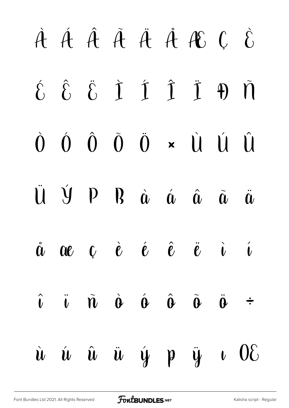# À Á Â Ã Ä Å Æ Ç È  $\hat{\delta}$   $\hat{\delta}$   $\hat{I}$   $\hat{I}$   $\hat{I}$   $\hat{J}$   $\hat{J}$   $\hat{M}$  $\dot{0}$   $\dot{0}$   $\ddot{0}$   $\ddot{0}$   $\dot{0}$   $\times$   $\dot{u}$   $\dot{u}$   $\dot{\dot{u}}$  $\mathbf{U}$   $\mathbf{\hat{y}}$   $\mathbf{p}$   $\mathbf{R}$   $\hat{\mathbf{a}}$   $\hat{\mathbf{a}}$   $\hat{\mathbf{a}}$   $\hat{\mathbf{a}}$   $\hat{\mathbf{a}}$   $\hat{\mathbf{a}}$  $\dot{a}$  ae  $c$  è é  $\hat{e}$  ë i í  $\hat{\mathbf{u}}$   $\hat{\mathbf{v}}$   $\hat{\mathbf{u}}$   $\hat{\mathbf{v}}$   $\hat{\mathbf{v}}$   $\hat{\mathbf{v}}$   $\hat{\mathbf{v}}$   $\hat{\mathbf{v}}$   $\hat{\mathbf{v}}$   $\hat{\mathbf{v}}$   $\hat{\mathbf{v}}$  $\dot{u}$   $\dot{u}$   $\ddot{u}$   $\dot{y}$   $\dot{y}$   $\dot{y}$   $\dot{u}$   $0$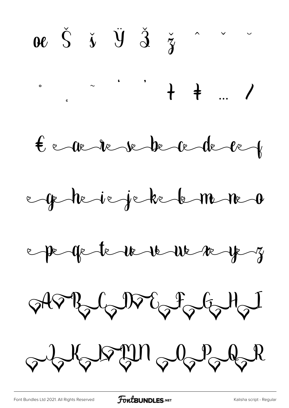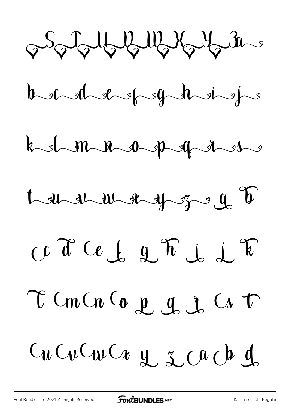John Mary 12 12







Ce d'Ob 2 h j 2 k

T Cm Cn Co e e e e C Cr T

Gu Cu Cu Cu y z cu ch d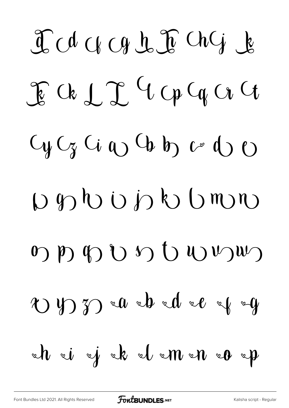I A CH CH L I Ch G L  $\int_{0}^{\infty} k \int_{0}^{\infty} f(x) \, dx \, dx \, dx$  $C_{y}C_{z}$   $C_{i}$   $C_{v}$   $C_{b}$   $b_{y}$   $c_{z}$   $d_{y}$   $c_{z}$  $D \nleftrightarrow D$  b j b b m  $\omega$  b  $\omega$  d  $\omega$  b  $\omega$  b  $\omega$  $\omega$  y  $\gamma$  and  $\omega$  and  $\omega$  $xh$   $\vec{v}$   $\vec{y}$   $xk$   $\vec{v}$   $xm \vec{v}$   $xp$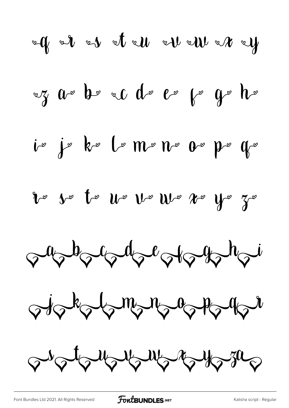$$
49 - 12 = 12
$$
\n
$$
49 - 12 = 12
$$
\n
$$
49 - 12 = 12
$$
\n
$$
49 - 12 = 12
$$
\n
$$
49 - 12 = 12
$$
\n
$$
40 - 12 = 12
$$
\n
$$
40 - 12 = 12
$$
\n
$$
40 - 12 = 12
$$
\n
$$
40 - 12 = 12
$$
\n
$$
40 - 12 = 12
$$
\n
$$
40 - 12 = 12
$$
\n
$$
40 - 12 = 12
$$
\n
$$
40 - 12 = 12
$$
\n
$$
40 - 12 = 12
$$
\n
$$
40 - 12 = 12
$$
\n
$$
40 - 12 = 12
$$
\n
$$
40 - 12 = 12
$$
\n
$$
40 - 12 = 12
$$
\n
$$
40 - 12 = 12
$$
\n
$$
40 - 12 = 12
$$
\n
$$
40 - 12 = 12
$$
\n
$$
40 - 12 = 12
$$
\n
$$
40 - 12 = 12
$$
\n
$$
40 - 12 = 12
$$
\n
$$
40 - 12 = 12
$$
\n
$$
40 - 12 = 12
$$
\n
$$
40 - 12 = 12
$$
\n
$$
40 - 12 = 12
$$
\n
$$
40 - 12 = 12
$$
\n
$$
40 - 12 = 12
$$
\n
$$
40 - 12 = 12
$$
\n
$$
40 - 12 = 12
$$
\n
$$
40 - 12 = 12
$$
\n
$$
40 - 12 = 12
$$
\n
$$
40 - 12 = 12
$$
\n
$$
40 - 12 = 12
$$
\n
$$
40 - 12 = 12
$$
\n
$$
40 - 12 = 12
$$
\n<math display="block</math>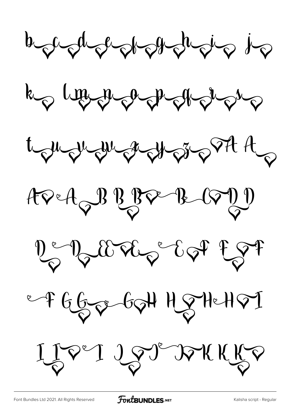A suder de de de de des k du margade t juge per grange st A  $APA$  of  $BP$   $BQ$ 2 2 2 2 2 2 3 2 2 3 7 e F GGge GOH HOTHeHOT LIPPI LPT DAKKKP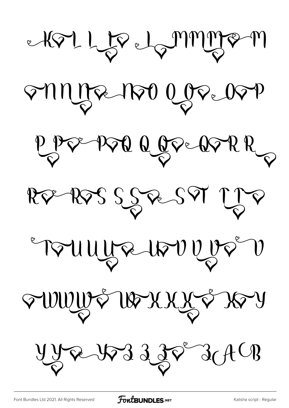KT LE LAMMIRAM SUNJE 1150 OGSE 05P PPP PPP ROPERPRR REPRESSERSET LJE FRUUDE 1800000 FWWWF WEXXXI XI  $YYR733887640$